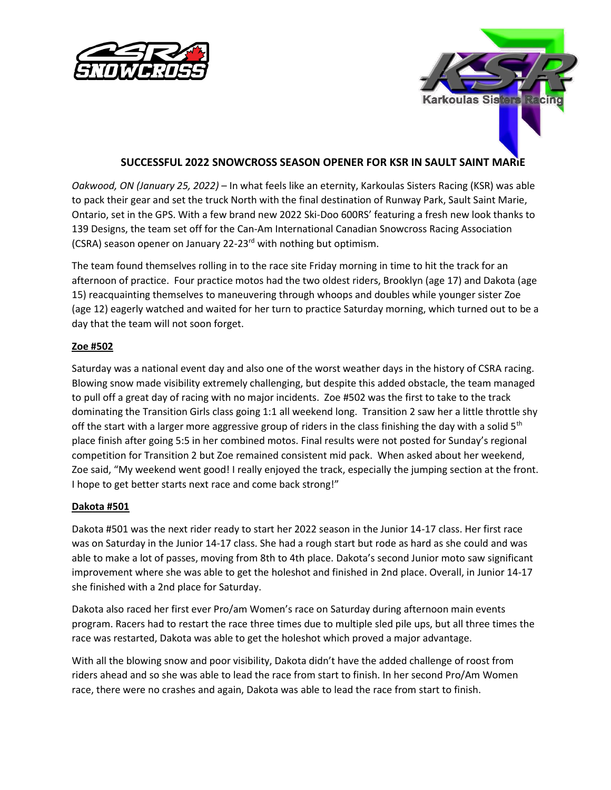



## **SUCCESSFUL 2022 SNOWCROSS SEASON OPENER FOR KSR IN SAULT SAINT MARIE**

*Oakwood, ON (January 25, 2022)* – In what feels like an eternity, Karkoulas Sisters Racing (KSR) was able to pack their gear and set the truck North with the final destination of Runway Park, Sault Saint Marie, Ontario, set in the GPS. With a few brand new 2022 Ski-Doo 600RS' featuring a fresh new look thanks to 139 Designs, the team set off for the Can-Am International Canadian Snowcross Racing Association (CSRA) season opener on January 22-23<sup>rd</sup> with nothing but optimism.

The team found themselves rolling in to the race site Friday morning in time to hit the track for an afternoon of practice. Four practice motos had the two oldest riders, Brooklyn (age 17) and Dakota (age 15) reacquainting themselves to maneuvering through whoops and doubles while younger sister Zoe (age 12) eagerly watched and waited for her turn to practice Saturday morning, which turned out to be a day that the team will not soon forget.

## **Zoe #502**

Saturday was a national event day and also one of the worst weather days in the history of CSRA racing. Blowing snow made visibility extremely challenging, but despite this added obstacle, the team managed to pull off a great day of racing with no major incidents. Zoe #502 was the first to take to the track dominating the Transition Girls class going 1:1 all weekend long. Transition 2 saw her a little throttle shy off the start with a larger more aggressive group of riders in the class finishing the day with a solid  $5<sup>th</sup>$ place finish after going 5:5 in her combined motos. Final results were not posted for Sunday's regional competition for Transition 2 but Zoe remained consistent mid pack. When asked about her weekend, Zoe said, "My weekend went good! I really enjoyed the track, especially the jumping section at the front. I hope to get better starts next race and come back strong!"

## **Dakota #501**

Dakota #501 was the next rider ready to start her 2022 season in the Junior 14-17 class. Her first race was on Saturday in the Junior 14-17 class. She had a rough start but rode as hard as she could and was able to make a lot of passes, moving from 8th to 4th place. Dakota's second Junior moto saw significant improvement where she was able to get the holeshot and finished in 2nd place. Overall, in Junior 14-17 she finished with a 2nd place for Saturday.

Dakota also raced her first ever Pro/am Women's race on Saturday during afternoon main events program. Racers had to restart the race three times due to multiple sled pile ups, but all three times the race was restarted, Dakota was able to get the holeshot which proved a major advantage.

With all the blowing snow and poor visibility, Dakota didn't have the added challenge of roost from riders ahead and so she was able to lead the race from start to finish. In her second Pro/Am Women race, there were no crashes and again, Dakota was able to lead the race from start to finish.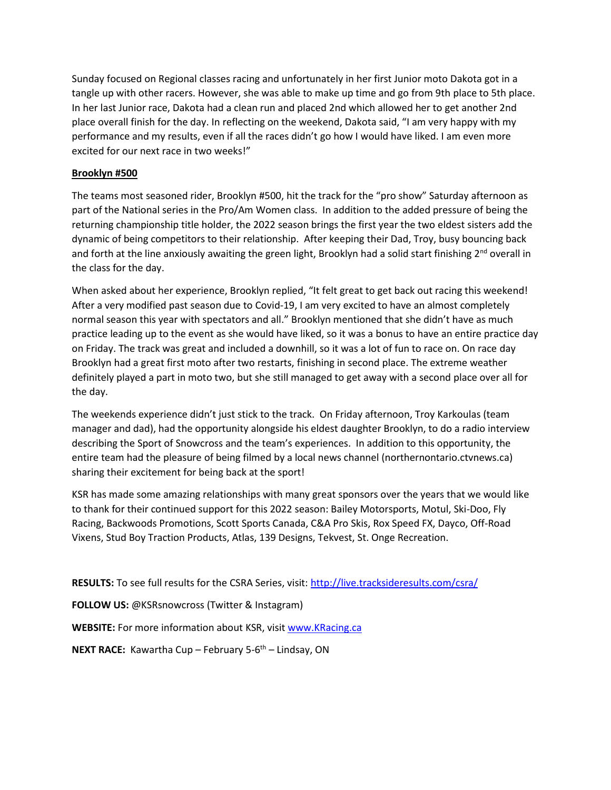Sunday focused on Regional classes racing and unfortunately in her first Junior moto Dakota got in a tangle up with other racers. However, she was able to make up time and go from 9th place to 5th place. In her last Junior race, Dakota had a clean run and placed 2nd which allowed her to get another 2nd place overall finish for the day. In reflecting on the weekend, Dakota said, "I am very happy with my performance and my results, even if all the races didn't go how I would have liked. I am even more excited for our next race in two weeks!"

## **Brooklyn #500**

The teams most seasoned rider, Brooklyn #500, hit the track for the "pro show" Saturday afternoon as part of the National series in the Pro/Am Women class. In addition to the added pressure of being the returning championship title holder, the 2022 season brings the first year the two eldest sisters add the dynamic of being competitors to their relationship. After keeping their Dad, Troy, busy bouncing back and forth at the line anxiously awaiting the green light, Brooklyn had a solid start finishing  $2^{nd}$  overall in the class for the day.

When asked about her experience, Brooklyn replied, "It felt great to get back out racing this weekend! After a very modified past season due to Covid-19, I am very excited to have an almost completely normal season this year with spectators and all." Brooklyn mentioned that she didn't have as much practice leading up to the event as she would have liked, so it was a bonus to have an entire practice day on Friday. The track was great and included a downhill, so it was a lot of fun to race on. On race day Brooklyn had a great first moto after two restarts, finishing in second place. The extreme weather definitely played a part in moto two, but she still managed to get away with a second place over all for the day.

The weekends experience didn't just stick to the track. On Friday afternoon, Troy Karkoulas (team manager and dad), had the opportunity alongside his eldest daughter Brooklyn, to do a radio interview describing the Sport of Snowcross and the team's experiences. In addition to this opportunity, the entire team had the pleasure of being filmed by a local news channel (northernontario.ctvnews.ca) sharing their excitement for being back at the sport!

KSR has made some amazing relationships with many great sponsors over the years that we would like to thank for their continued support for this 2022 season: Bailey Motorsports, Motul, Ski-Doo, Fly Racing, Backwoods Promotions, Scott Sports Canada, C&A Pro Skis, Rox Speed FX, Dayco, Off-Road Vixens, Stud Boy Traction Products, Atlas, 139 Designs, Tekvest, St. Onge Recreation.

**RESULTS:** To see full results for the CSRA Series, visit: <http://live.tracksideresults.com/csra/>

**FOLLOW US:** @KSRsnowcross (Twitter & Instagram)

**WEBSITE:** For more information about KSR, visit [www.KRacing.ca](https://d.docs.live.net/82e8528d8cde223b/www.KRacing.ca)

**NEXT RACE:** Kawartha Cup – February 5-6<sup>th</sup> – Lindsay, ON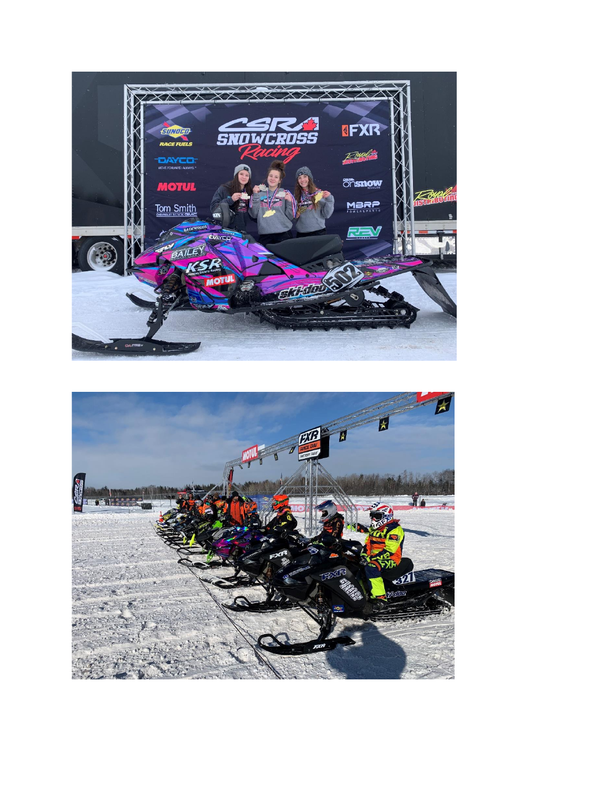